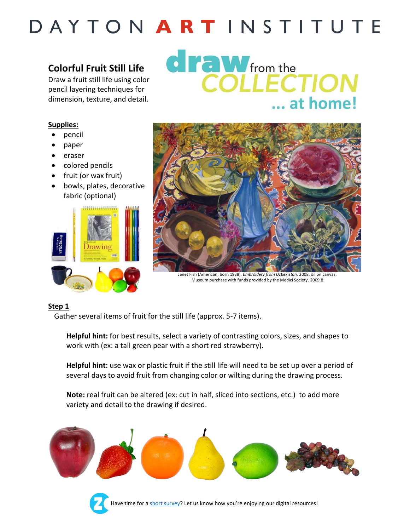### **Colorful Fruit Still Life**

Draw a fruit still life using color pencil layering techniques for dimension, texture, and detail.

### **draw** from the COLLECTION ... at home!

#### **Supplies:**

- pencil
- paper
- eraser
- colored pencils
- fruit (or wax fruit)
- bowls, plates, decorative fabric (optional)





Janet Fish (American, born 1938), *Embroidery from Uzbekistan,* 2008, oil on canvas. Museum purchase with funds provided by the Medici Society. 2009.8

#### **Step 1**

Gather several items of fruit for the still life (approx. 5-7 items).

**Helpful hint:** for best results, select a variety of contrasting colors, sizes, and shapes to work with (ex: a tall green pear with a short red strawberry).

**Helpful hint:** use wax or plastic fruit if the still life will need to be set up over a period of several days to avoid fruit from changing color or wilting during the drawing process.

**Note:** real fruit can be altered (ex: cut in half, sliced into sections, etc.) to add more variety and detail to the drawing if desired.



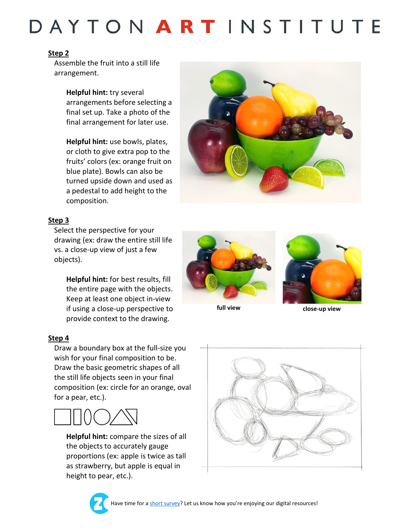#### **Step 2**

Assemble the fruit into a still life arrangement.

> **Helpful hint:** try several arrangements before selecting a final set up. Take a photo of the final arrangement for later use.

**Helpful hint:** use bowls, plates, or cloth to give extra pop to the fruits' colors (ex: orange fruit on blue plate). Bowls can also be turned upside down and used as a pedestal to add height to the composition.



#### **Step 3**

Select the perspective for your drawing (ex: draw the entire still life vs. a close-up view of just a few objects).

**Helpful hint:** for best results, fill the entire page with the objects. Keep at least one object in-view if using a close-up perspective to provide context to the drawing.

#### **Step 4**

Draw a boundary box at the full-size you wish for your final composition to be. Draw the basic geometric shapes of all the still life objects seen in your final composition (ex: circle for an orange, oval for a pear, etc.).



**Helpful hint:** compare the sizes of all the objects to accurately gauge proportions (ex: apple is twice as tall as strawberry, but apple is equal in height to pear, etc.).





**full view close-up view**



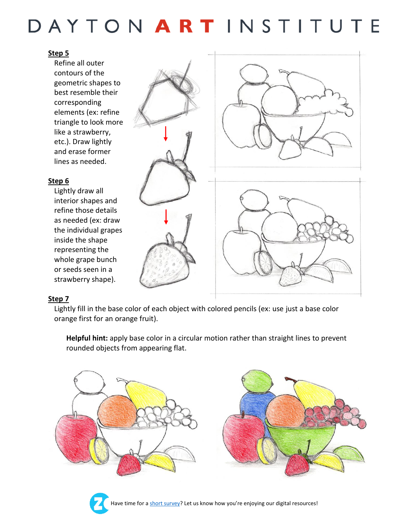#### **Step 5**

Refine all outer contours of the geometric shapes to best resemble their corresponding elements (ex: refine triangle to look more like a strawberry, etc.). Draw lightly and erase former lines as needed.

#### **Step 6**

Lightly draw all interior shapes and refine those details as needed (ex: draw the individual grapes inside the shape representing the whole grape bunch or seeds seen in a strawberry shape).

#### **Step 7**

Lightly fill in the base color of each object with colored pencils (ex: use just a base color orange first for an orange fruit).

**Helpful hint:** apply base color in a circular motion rather than straight lines to prevent rounded objects from appearing flat.







Have time for [a short survey](https://zonka.co/q8e4XY)? Let us know how you're enjoying our digital resources!